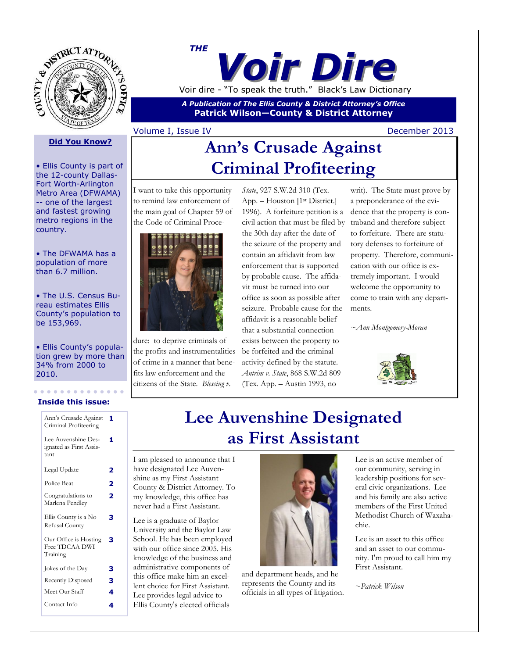

# *Voir Dire THE* Voir dire - "To speak the truth." Black's Law Dictionary

*A Publication of The Ellis County & District Attorney's Office* **Patrick Wilson—County & District Attorney**

#### Volume I, Issue IV December 2013

#### **Did You Know?**

• Ellis County is part of the 12-county Dallas-Fort Worth-Arlington Metro Area (DFWAMA) -- one of the largest and fastest growing metro regions in the country.

• The DFWAMA has a population of more than 6.7 million.

• The U.S. Census Bureau estimates Ellis County's population to be 153,969.

• Ellis County's population grew by more than 34% from 2000 to 2010.

#### **Inside this issue:**

| Ann's Crusade Against<br>Criminal Profiteering         | 1 |
|--------------------------------------------------------|---|
| Lee Auvenshine Des-<br>ignated as First Assis-<br>tant | 1 |
| Legal Update                                           | 2 |
| Police Beat                                            | 2 |
| Congratulations to<br>Marlena Pendley                  | 2 |
| Ellis County is a No<br>Refusal County                 | з |
| Our Office is Hosting<br>Free TDCAA DWI<br>Training    | з |
| Jokes of the Day                                       | з |
| <b>Recently Disposed</b>                               | з |
| Meet Our Staff                                         | 4 |
| Contact Info                                           | 4 |
|                                                        |   |

# **Ann's Crusade Against Criminal Profiteering**

I want to take this opportunity to remind law enforcement of the main goal of Chapter 59 of the Code of Criminal Proce-



dure: to deprive criminals of the profits and instrumentalities of crime in a manner that benefits law enforcement and the citizens of the State. *Blessing v.* 

*State*, 927 S.W.2d 310 (Tex. App. – Houston [1<sup>st</sup> District.] 1996). A forfeiture petition is a civil action that must be filed by the 30th day after the date of the seizure of the property and contain an affidavit from law enforcement that is supported by probable cause. The affidavit must be turned into our office as soon as possible after seizure. Probable cause for the affidavit is a reasonable belief that a substantial connection exists between the property to be forfeited and the criminal activity defined by the statute. *Antrim v. State*, 868 S.W.2d 809 (Tex. App. – Austin 1993, no

writ). The State must prove by a preponderance of the evidence that the property is contraband and therefore subject to forfeiture. There are statutory defenses to forfeiture of property. Therefore, communication with our office is extremely important. I would welcome the opportunity to come to train with any departments.

~*Ann Montgomery-Moran*



# **Lee Auvenshine Designated as First Assistant**

I am pleased to announce that I have designated Lee Auvenshine as my First Assistant County & District Attorney. To my knowledge, this office has never had a First Assistant.

Lee is a graduate of Baylor University and the Baylor Law School. He has been employed with our office since 2005. His knowledge of the business and administrative components of this office make him an excellent choice for First Assistant. Lee provides legal advice to Ellis County's elected officials



and department heads, and he represents the County and its officials in all types of litigation. Lee is an active member of our community, serving in leadership positions for several civic organizations. Lee and his family are also active members of the First United Methodist Church of Waxahachie.

Lee is an asset to this office and an asset to our community. I'm proud to call him my First Assistant.

~*Patrick Wilson*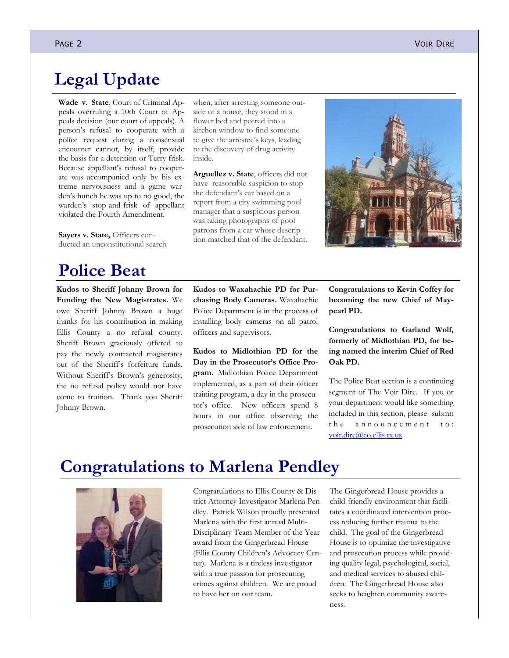## **Legal Update**

**Wade v. State**, Court of Criminal Appeals overruling a 10th Court of Appeals decision (our court of appeals). A person's refusal to cooperate with a police request during a consensual encounter cannot, by itself, provide the basis for a detention or Terry frisk. Because appellant's refusal to cooperate was accompanied only by his extreme nervousness and a game warden's hunch he was up to no good, the warden's stop-and-frisk of appellant violated the Fourth Amendment.

**[Sayers v. State,](http://www.search.txcourts.gov/SearchMedia.aspx?MediaVersionID=cd7072f1-e239-4f7c-aeb9-a840d0a925d7&MediaID=c64fb6b8-1926-4ed9-82f1-b513114a02c8&coa=%22%20+%20this.CurrentWebState.CurrentCourt%20+%20@%22&DT=Opinion)** Officers conducted an unconstitutional search

## **Police Beat**

**Kudos to Sheriff Johnny Brown for Funding the New Magistrates.** We owe Sheriff Johnny Brown a huge thanks for his contribution in making Ellis County a no refusal county. Sheriff Brown graciously offered to pay the newly contracted magistrates out of the Sheriff's forfeiture funds. Without Sheriff's Brown's generosity, the no refusal policy would not have come to fruition. Thank you Sheriff Johnny Brown.

when, after arresting someone outside of a house, they stood in a flower bed and peered into a kitchen window to find someone to give the arrestee's keys, leading to the discovery of drug activity inside.

**[Arguellez v. State](http://www.cca.courts.state.tx.us/OPINIONS/PDFOPINIONINFO2.ASP?OPINIONID=24602)**, officers did not have reasonable suspicion to stop the defendant's car based on a report from a city swimming pool manager that a suspicious person was taking photographs of pool patrons from a car whose description matched that of the defendant.



**Kudos to Waxahachie PD for Purchasing Body Cameras.** Waxahachie Police Department is in the process of installing body cameras on all patrol officers and supervisors.

**Kudos to Midlothian PD for the Day in the Prosecutor's Office Program.** Midlothian Police Department implemented, as a part of their officer training program, a day in the prosecutor's office. New officers spend 8 hours in our office observing the prosecution side of law enforcement.

**Congratulations to Kevin Coffey for becoming the new Chief of Maypearl PD.**

**Congratulations to Garland Wolf, formerly of Midlothian PD, for being named the interim Chief of Red Oak PD.**

The Police Beat section is a continuing segment of The Voir Dire. If you or your department would like something included in this section, please submit the announcement to: [voir.dire@co.ellis.tx.us.](mailto:voir.dire@co.ellis.tx.us?subject=Police%20Beat%20Announcement)

# **Congratulations to Marlena Pendley**



Congratulations to Ellis County & District Attorney Investigator Marlena Pendley. Patrick Wilson proudly presented Marlena with the first annual Multi-Disciplinary Team Member of the Year award from the Gingerbread House (Ellis County Children's Advocacy Center). Marlena is a tireless investigator with a true passion for prosecuting crimes against children. We are proud to have her on our team.

The Gingerbread House provides a child-friendly environment that facilitates a coordinated intervention process reducing further trauma to the child. The goal of the Gingerbread House is to optimize the investigative and prosecution process while providing quality legal, psychological, social, and medical services to abused children. The Gingerbread House also seeks to heighten community awareness.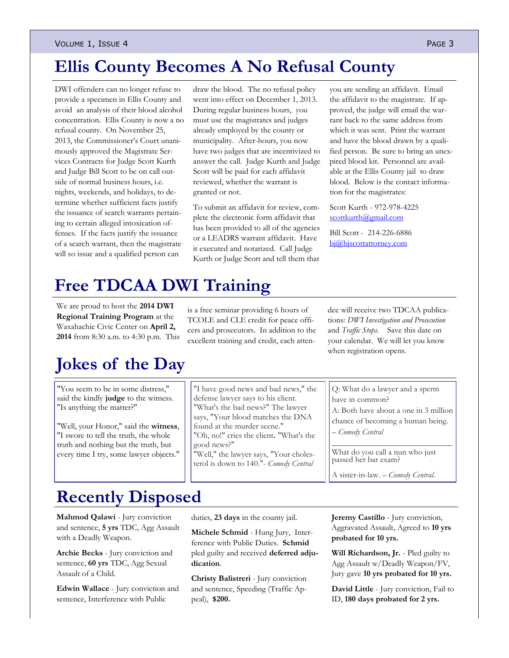#### VOLUME 1, ISSUE 4 PAGE 3

# **Ellis County Becomes A No Refusal County**

DWI offenders can no longer refuse to provide a specimen in Ellis County and avoid an analysis of their blood alcohol concentration. Ellis County is now a no refusal county. On November 25, 2013, the Commissioner's Court unanimously approved the Magistrate Services Contracts for Judge Scott Kurth and Judge Bill Scott to be on call outside of normal business hours, i.e. nights, weekends, and holidays, to determine whether sufficient facts justify the issuance of search warrants pertaining to certain alleged intoxication offenses. If the facts justify the issuance of a search warrant, then the magistrate will so issue and a qualified person can

draw the blood. The no refusal policy went into effect on December 1, 2013. During regular business hours, you must use the magistrates and judges already employed by the county or municipality. After-hours, you now have two judges that are incentivized to answer the call. Judge Kurth and Judge Scott will be paid for each affidavit reviewed, whether the warrant is granted or not.

To submit an affidavit for review, complete the electronic form affidavit that has been provided to all of the agencies or a LEADRS warrant affidavit. Have it executed and notarized. Call Judge Kurth or Judge Scott and tell them that you are sending an affidavit. Email the affidavit to the magistrate. If approved, the judge will email the warrant back to the same address from which it was sent. Print the warrant and have the blood drawn by a qualified person. Be sure to bring an unexpired blood kit. Personnel are available at the Ellis County jail to draw blood. Below is the contact information for the magistrates:

Scott Kurth - 972-978-4225 [scottkurth@gmail.com](mailto:scottkurth@gmail.com)

Bill Scott - 214-226-6886 [bj@bjscottattorney.com](mailto:bj@bjscottattotnry.com)

# **Free TDCAA DWI Training**

We are proud to host the **2014 DWI Regional Training Program** at the Waxahachie Civic Center on **April 2, 2014** from 8:30 a.m. to 4:30 p.m. This

# **Jokes of the Day**

"You seem to be in some distress," said the kindly **judge** to the witness. "Is anything the matter?"

"Well, your Honor," said the **witness**, "I swore to tell the truth, the whole truth and nothing but the truth, but every time I try, some lawyer objects."

is a free seminar providing 6 hours of TCOLE and CLE credit for peace officers and prosecutors. In addition to the excellent training and credit, each atten-

"I have good news and bad news," the defense lawyer says to his client. "What's the bad news?" The lawyer says, "Your blood matches the DNA

"Oh, no!" cries the client**.** "What's the

"Well," the lawyer says, "Your cholesterol is down to 140."- *Comedy Central* dee will receive two TDCAA publications: *DWI Investigation and Prosecution*  and *Traffic Stops*. Save this date on your calendar. We will let you know when registration opens.

Q: What do a lawyer and a sperm have in common?

A: Both have about a one in 3 million chance of becoming a human being.

*\_\_\_\_\_\_\_\_\_\_\_\_\_\_\_\_\_\_\_\_\_\_\_\_\_\_\_\_\_*

– *Comedy Central*

What do you call a nun who just passed her bar exam?

A sister-in-law. – *Comedy Central.*

### **Recently Disposed**

**Mahmod Qalawi** - Jury conviction and sentence, **5 yrs** TDC, Agg Assault with a Deadly Weapon.

**Archie Becks** - Jury conviction and sentence, **60 yrs** TDC, Agg Sexual Assault of a Child.

**Edwin Wallace** - Jury conviction and sentence, Interference with Public

duties, **23 days** in the county jail.

found at the murder scene."

good news?"

**Michele Schmid** - Hung Jury, Interference with Public Duties. **Schmid** pled guilty and received **deferred adjudication**.

**Christy Balistreri** - Jury conviction and sentence, Speeding (Traffic Appeal), **\$200.**

**Jeremy Castillo** - Jury conviction, Aggravated Assault, Agreed to **10 yrs probated for 10 yrs.**

**Will Richardson, Jr.** - Pled guilty to Agg Assault w/Deadly Weapon/FV, Jury gave **10 yrs probated for 10 yrs.**

**David Little** - Jury conviction, Fail to ID, **180 days probated for 2 yrs.**